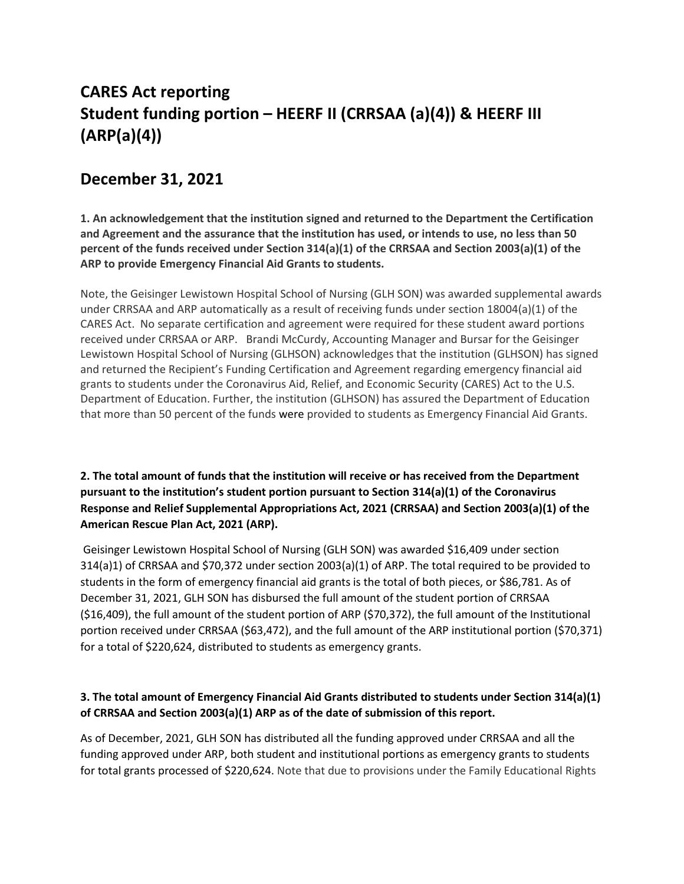# **CARES Act reporting Student funding portion – HEERF II (CRRSAA (a)(4)) & HEERF III (ARP(a)(4))**

## **December 31, 2021**

**1. An acknowledgement that the institution signed and returned to the Department the Certification and Agreement and the assurance that the institution has used, or intends to use, no less than 50 percent of the funds received under Section 314(a)(1) of the CRRSAA and Section 2003(a)(1) of the ARP to provide Emergency Financial Aid Grants to students.**

Note, the Geisinger Lewistown Hospital School of Nursing (GLH SON) was awarded supplemental awards under CRRSAA and ARP automatically as a result of receiving funds under section 18004(a)(1) of the CARES Act. No separate certification and agreement were required for these student award portions received under CRRSAA or ARP. Brandi McCurdy, Accounting Manager and Bursar for the Geisinger Lewistown Hospital School of Nursing (GLHSON) acknowledges that the institution (GLHSON) has signed and returned the Recipient's Funding Certification and Agreement regarding emergency financial aid grants to students under the Coronavirus Aid, Relief, and Economic Security (CARES) Act to the U.S. Department of Education. Further, the institution (GLHSON) has assured the Department of Education that more than 50 percent of the funds were provided to students as Emergency Financial Aid Grants.

**2. The total amount of funds that the institution will receive or has received from the Department pursuant to the institution's student portion pursuant to Section 314(a)(1) of the Coronavirus Response and Relief Supplemental Appropriations Act, 2021 (CRRSAA) and Section 2003(a)(1) of the American Rescue Plan Act, 2021 (ARP).**

Geisinger Lewistown Hospital School of Nursing (GLH SON) was awarded \$16,409 under section 314(a)1) of CRRSAA and \$70,372 under section 2003(a)(1) of ARP. The total required to be provided to students in the form of emergency financial aid grants is the total of both pieces, or \$86,781. As of December 31, 2021, GLH SON has disbursed the full amount of the student portion of CRRSAA (\$16,409), the full amount of the student portion of ARP (\$70,372), the full amount of the Institutional portion received under CRRSAA (\$63,472), and the full amount of the ARP institutional portion (\$70,371) for a total of \$220,624, distributed to students as emergency grants.

#### **3. The total amount of Emergency Financial Aid Grants distributed to students under Section 314(a)(1) of CRRSAA and Section 2003(a)(1) ARP as of the date of submission of this report.**

As of December, 2021, GLH SON has distributed all the funding approved under CRRSAA and all the funding approved under ARP, both student and institutional portions as emergency grants to students for total grants processed of \$220,624. Note that due to provisions under the Family Educational Rights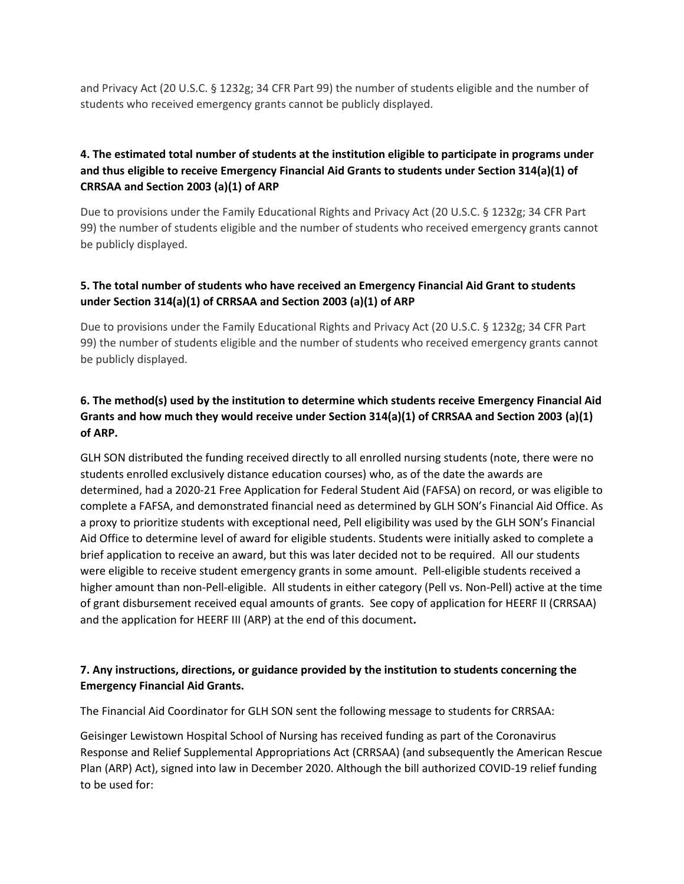and Privacy Act (20 U.S.C. § 1232g; 34 CFR Part 99) the number of students eligible and the number of students who received emergency grants cannot be publicly displayed.

#### **4. The estimated total number of students at the institution eligible to participate in programs under and thus eligible to receive Emergency Financial Aid Grants to students under Section 314(a)(1) of CRRSAA and Section 2003 (a)(1) of ARP**

Due to provisions under the Family Educational Rights and Privacy Act (20 U.S.C. § 1232g; 34 CFR Part 99) the number of students eligible and the number of students who received emergency grants cannot be publicly displayed.

#### **5. The total number of students who have received an Emergency Financial Aid Grant to students under Section 314(a)(1) of CRRSAA and Section 2003 (a)(1) of ARP**

Due to provisions under the Family Educational Rights and Privacy Act (20 U.S.C. § 1232g; 34 CFR Part 99) the number of students eligible and the number of students who received emergency grants cannot be publicly displayed.

#### **6. The method(s) used by the institution to determine which students receive Emergency Financial Aid Grants and how much they would receive under Section 314(a)(1) of CRRSAA and Section 2003 (a)(1) of ARP.**

GLH SON distributed the funding received directly to all enrolled nursing students (note, there were no students enrolled exclusively distance education courses) who, as of the date the awards are determined, had a 2020-21 Free Application for Federal Student Aid (FAFSA) on record, or was eligible to complete a FAFSA, and demonstrated financial need as determined by GLH SON's Financial Aid Office. As a proxy to prioritize students with exceptional need, Pell eligibility was used by the GLH SON's Financial Aid Office to determine level of award for eligible students. Students were initially asked to complete a brief application to receive an award, but this was later decided not to be required. All our students were eligible to receive student emergency grants in some amount. Pell-eligible students received a higher amount than non-Pell-eligible. All students in either category (Pell vs. Non-Pell) active at the time of grant disbursement received equal amounts of grants. See copy of application for HEERF II (CRRSAA) and the application for HEERF III (ARP) at the end of this document**.**

#### **7. Any instructions, directions, or guidance provided by the institution to students concerning the Emergency Financial Aid Grants.**

The Financial Aid Coordinator for GLH SON sent the following message to students for CRRSAA:

Geisinger Lewistown Hospital School of Nursing has received funding as part of the Coronavirus Response and Relief Supplemental Appropriations Act (CRRSAA) (and subsequently the American Rescue Plan (ARP) Act), signed into law in December 2020. Although the bill authorized COVID-19 relief funding to be used for: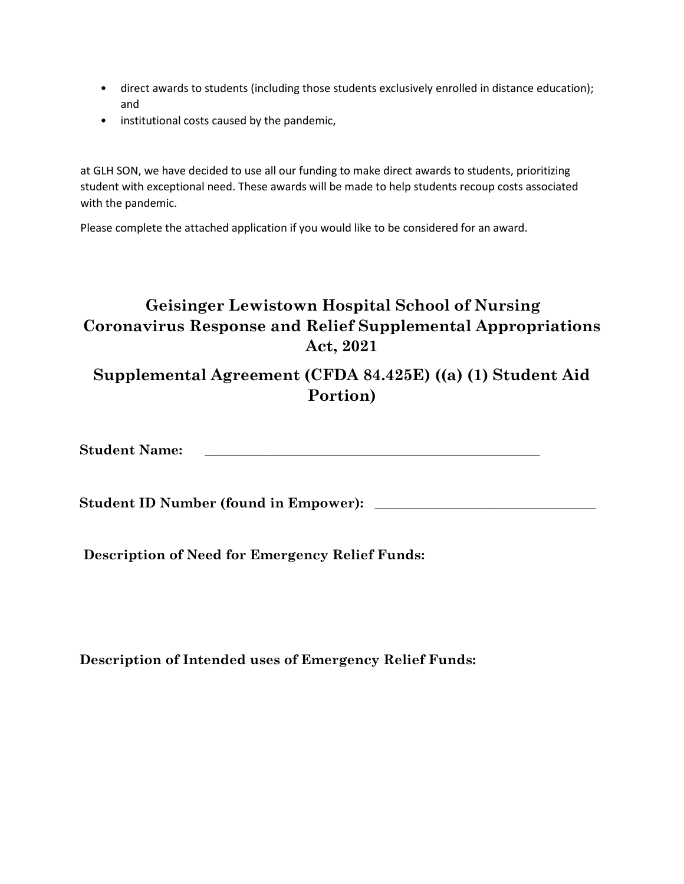- direct awards to students (including those students exclusively enrolled in distance education); and
- institutional costs caused by the pandemic,

at GLH SON, we have decided to use all our funding to make direct awards to students, prioritizing student with exceptional need. These awards will be made to help students recoup costs associated with the pandemic.

Please complete the attached application if you would like to be considered for an award.

## **Geisinger Lewistown Hospital School of Nursing Coronavirus Response and Relief Supplemental Appropriations Act, 2021**

**Supplemental Agreement (CFDA 84.425E) ((a) (1) Student Aid Portion)**

**Student Name:**  $\blacksquare$ 

**Student ID Number (found in Empower):** \_\_\_\_\_\_\_\_\_\_\_\_\_\_\_\_\_\_\_\_\_\_\_\_\_\_\_\_\_\_\_\_\_

**Description of Need for Emergency Relief Funds:** 

**Description of Intended uses of Emergency Relief Funds:**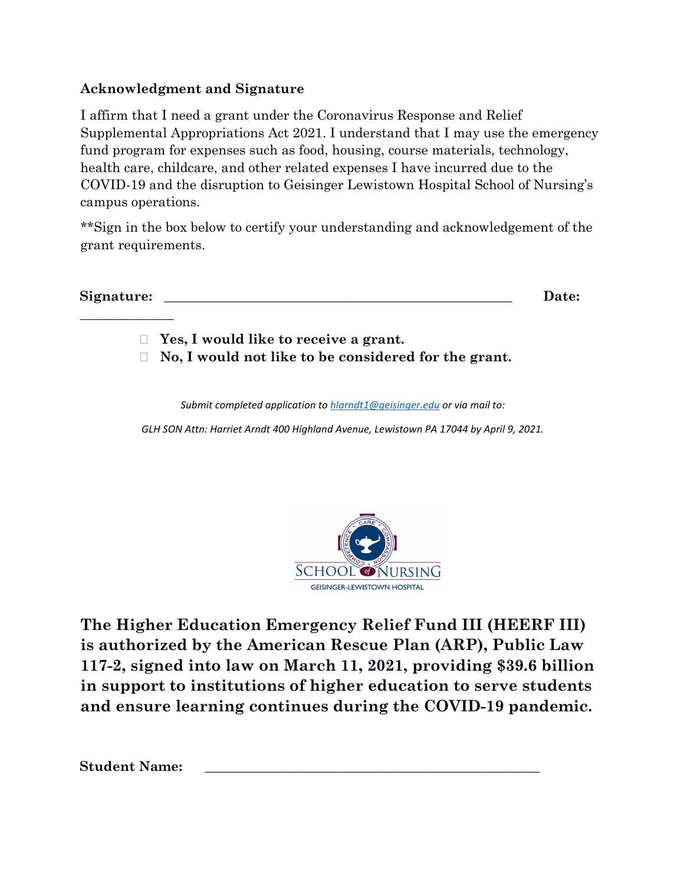### **Acknowledgment and Signature**

I affirm that I need a grant under the Coronavirus Response and Relief Supplemental Appropriations Act 2021. I understand that I may use the emergency fund program for expenses such as food, housing, course materials, technology, health care, childcare, and other related expenses I have incurred due to the COVID-19 and the disruption to Geisinger Lewistown Hospital School of Nursing's campus operations.

\*\*Sign in the box below to certify your understanding and acknowledgement of the grant requirements.

**Signature: \_\_\_\_\_\_\_\_\_\_\_\_\_\_\_\_\_\_\_\_\_\_\_\_\_\_\_\_\_\_\_\_\_\_\_\_\_\_\_\_\_\_\_\_\_\_\_\_\_\_\_\_ Date: \_\_\_\_\_\_\_\_\_\_\_\_\_\_** 

**Yes, I would like to receive a grant.** 

**No, I would not like to be considered for the grant.**

*Submit completed application to hlarndt1@geisinger.edu or via mail to:* 

*GLH SON Attn: Harriet Arndt 400 Highland Avenue, Lewistown PA 17044 by April 9, 2021.*



**The Higher Education Emergency Relief Fund III (HEERF III) is authorized by the American Rescue Plan (ARP), Public Law 117-2, signed into law on March 11, 2021, providing \$39.6 billion in support to institutions of higher education to serve students and ensure learning continues during the COVID-19 pandemic.**

Student Name: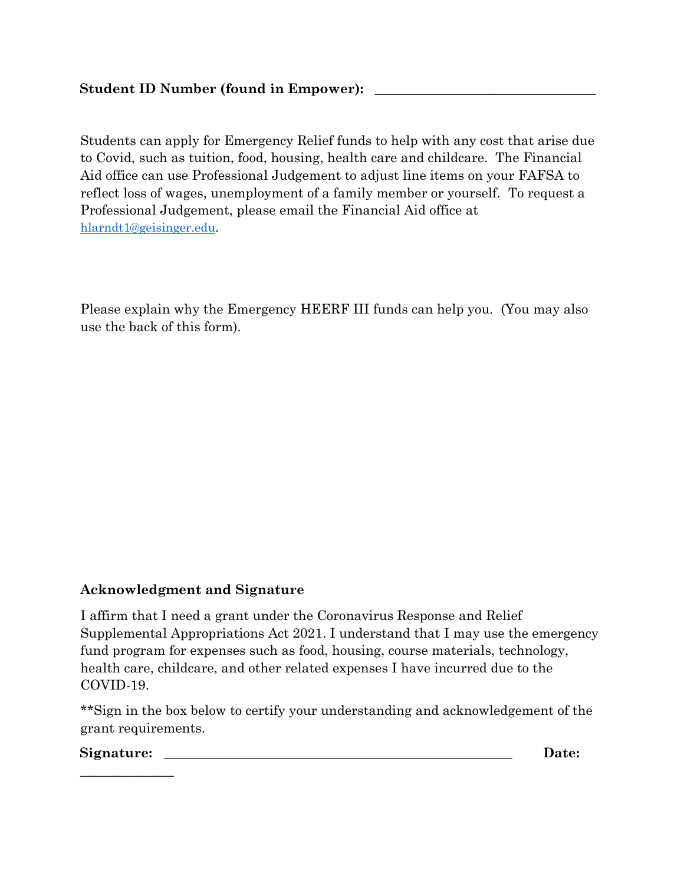Students can apply for Emergency Relief funds to help with any cost that arise due to Covid, such as tuition, food, housing, health care and childcare. The Financial Aid office can use Professional Judgement to adjust line items on your FAFSA to reflect loss of wages, unemployment of a family member or yourself. To request a Professional Judgement, please email the Financial Aid office at [hlarndt1@geisinger.edu.](mailto:hlarndt1@geisinger.edu)

Please explain why the Emergency HEERF III funds can help you. (You may also use the back of this form).

### **Acknowledgment and Signature**

I affirm that I need a grant under the Coronavirus Response and Relief Supplemental Appropriations Act 2021. I understand that I may use the emergency fund program for expenses such as food, housing, course materials, technology, health care, childcare, and other related expenses I have incurred due to the COVID-19.

\*\*Sign in the box below to certify your understanding and acknowledgement of the grant requirements.

#### ${\bf Sigma} = {\bf D}$

**\_\_\_\_\_\_\_\_\_\_\_\_\_\_**